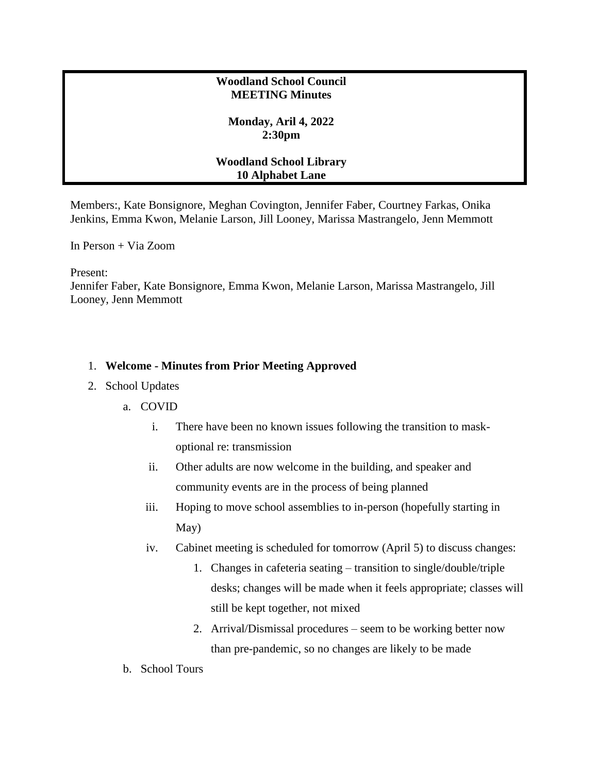## **Woodland School Council MEETING Minutes**

## **Monday, Aril 4, 2022 2:30pm**

## **Woodland School Library 10 Alphabet Lane**

Members:, Kate Bonsignore, Meghan Covington, Jennifer Faber, Courtney Farkas, Onika Jenkins, Emma Kwon, Melanie Larson, Jill Looney, Marissa Mastrangelo, Jenn Memmott

In Person + Via Zoom

Present:

Jennifer Faber, Kate Bonsignore, Emma Kwon, Melanie Larson, Marissa Mastrangelo, Jill Looney, Jenn Memmott

## 1. **Welcome - Minutes from Prior Meeting Approved**

- 2. School Updates
	- a. COVID
		- i. There have been no known issues following the transition to maskoptional re: transmission
		- ii. Other adults are now welcome in the building, and speaker and community events are in the process of being planned
		- iii. Hoping to move school assemblies to in-person (hopefully starting in May)
		- iv. Cabinet meeting is scheduled for tomorrow (April 5) to discuss changes:
			- 1. Changes in cafeteria seating transition to single/double/triple desks; changes will be made when it feels appropriate; classes will still be kept together, not mixed
			- 2. Arrival/Dismissal procedures seem to be working better now than pre-pandemic, so no changes are likely to be made
	- b. School Tours